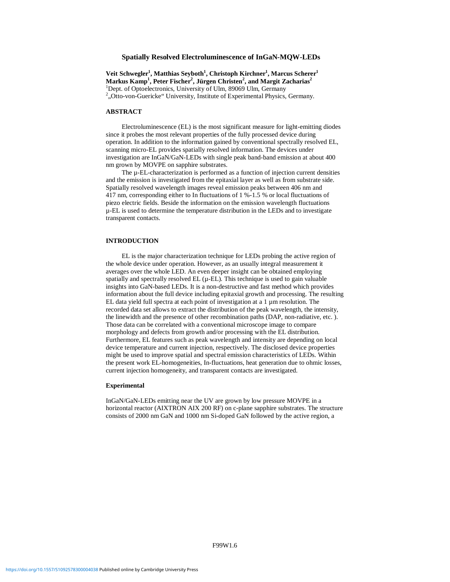### **Spatially Resolved Electroluminescence of InGaN-MQW-LEDs**

 $\mathbf{V}$ eit Schwegler<sup>1</sup>, Matthias Seyboth<sup>1</sup>, Christoph Kirchner<sup>1</sup>, Marcus Scherer<sup>1</sup>  $\mathbf{M}$ arkus  $\mathbf{Kamp}^1$ , Peter Fischer<sup>2</sup>, Jürgen Christen<sup>2</sup>, and Margit Zacharias<sup>2</sup> <sup>1</sup>Dept. of Optoelectronics, University of Ulm, 89069 Ulm, Germany  $2<sup>2</sup>$ , Otto-von-Guericke" University, Institute of Experimental Physics, Germany.

#### **ABSTRACT**

Electroluminescence (EL) is the most significant measure for light-emitting diodes since it probes the most relevant properties of the fully processed device during operation. In addition to the information gained by conventional spectrally resolved EL, scanning micro-EL provides spatially resolved information. The devices under investigation are InGaN/GaN-LEDs with single peak band-band emission at about 400 nm grown by MOVPE on sapphire substrates.

The µ-EL-characterization is performed as a function of injection current densities and the emission is investigated from the epitaxial layer as well as from substrate side. Spatially resolved wavelength images reveal emission peaks between 406 nm and 417 nm, corresponding either to In fluctuations of 1 %-1.5 % or local fluctuations of piezo electric fields. Beside the information on the emission wavelength fluctuations µ-EL is used to determine the temperature distribution in the LEDs and to investigate transparent contacts.

### **INTRODUCTION**

EL is the major characterization technique for LEDs probing the active region of the whole device under operation. However, as an usually integral measurement it averages over the whole LED. An even deeper insight can be obtained employing spatially and spectrally resolved  $EL (µ-EL)$ . This technique is used to gain valuable insights into GaN-based LEDs. It is a non-destructive and fast method which provides information about the full device including epitaxial growth and processing. The resulting EL data yield full spectra at each point of investigation at a 1 µm resolution. The recorded data set allows to extract the distribution of the peak wavelength, the intensity, the linewidth and the presence of other recombination paths (DAP, non-radiative, etc. ). Those data can be correlated with a conventional microscope image to compare morphology and defects from growth and/or processing with the EL distribution. Furthermore, EL features such as peak wavelength and intensity are depending on local device temperature and current injection, respectively. The disclosed device properties might be used to improve spatial and spectral emission characteristics of LEDs. Within the present work EL-homogeneities, In-fluctuations, heat generation due to ohmic losses, current injection homogeneity, and transparent contacts are investigated.

#### **Experimental**

InGaN/GaN-LEDs emitting near the UV are grown by low pressure MOVPE in a horizontal reactor (AIXTRON AIX 200 RF) on c-plane sapphire substrates. The structure consists of 2000 nm GaN and 1000 nm Si-doped GaN followed by the active region, a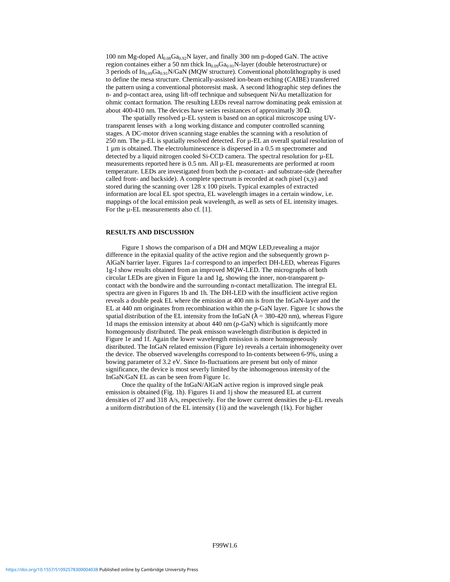100 nm Mg-doped Al<sub>0.08</sub>Ga<sub>0.92</sub>N layer, and finally 300 nm p-doped GaN. The active region containes either a 50 nm thick  $In<sub>0.09</sub>Ga<sub>0.91</sub>N-layer$  (double heterostructure) or 3 periods of  $In_{0.09}Ga_{0.91}N/GaN$  (MOW structure). Conventional photolithography is used to define the mesa structure. Chemically-assisted ion-beam etching (CAIBE) transferred the pattern using a conventional photoresist mask. A second lithographic step defines the n- and p-contact area, using lift-off technique and subsequent Ni/Au metallization for ohmic contact formation. The resulting LEDs reveal narrow dominating peak emission at about 400-410 nm. The devices have series resistances of approximatly 30  $\Omega$ .

The spatially resolved  $\mu$ -EL system is based on an optical microscope using UVtransparent lenses with a long working distance and computer controlled scanning stages. A DC-motor driven scanning stage enables the scanning with a resolution of 250 nm. The µ-EL is spatially resolved detected. For µ-EL an overall spatial resolution of 1 µm is obtained. The electroluminescence is dispersed in a 0.5 m spectrometer and detected by a liquid nitrogen cooled Si-CCD camera. The spectral resolution for  $\mu$ -EL measurements reported here is 0.5 nm. All  $\mu$ -EL measurements are performed at room temperature. LEDs are investigated from both the p-contact- and substrate-side (hereafter called front- and backside). A complete spectrum is recorded at each pixel  $(x, y)$  and stored during the scanning over 128 x 100 pixels. Typical examples of extracted information are local EL spot spectra, EL wavelength images in a certain window, i.e. mappings of the local emission peak wavelength, as well as sets of EL intensity images. For the µ-EL measurements also cf. [1].

### **RESULTS AND DISCUSSION**

Figure 1 shows the comparison of a DH and MQW LED,revealing a major difference in the epitaxial quality of the active region and the subsequently grown p-AlGaN barrier layer. Figures 1a-f correspond to an imperfect DH-LED, whereas Figures 1g-l show results obtained from an improved MQW-LED. The micrographs of both circular LEDs are given in Figure 1a and 1g, showing the inner, non-transparent pcontact with the bondwire and the surrounding n-contact metallization. The integral EL spectra are given in Figures 1b and 1h. The DH-LED with the insufficient active region reveals a double peak EL where the emission at 400 nm is from the InGaN-layer and the EL at 440 nm originates from recombination within the p-GaN layer. Figure 1c shows the spatial distribution of the EL intensity from the InGaN ( $\lambda = 380-420$  nm), whereas Figure 1d maps the emission intensity at about 440 nm (p-GaN) which is signifcantly more homogenously distributed. The peak emisson wavelength distribution is depicted in Figure 1e and 1f. Again the lower wavelength emission is more homogeneously distributed. The InGaN related emission (Figure 1e) reveals a certain inhomogeneity over the device. The observed wavelengths correspond to In-contents between 6-9%, using a bowing parameter of 3.2 eV. Since In-fluctuations are present but only of minor significance, the device is most severly limited by the inhomogenous intensity of the InGaN/GaN EL as can be seen from Figure 1c.

Once the quality of the InGaN/AlGaN active region is improved single peak emission is obtained (Fig. 1h). Figures 1i and 1j show the measured EL at current densities of 27 and 318 A/s, respectively. For the lower current densities the µ-EL reveals a uniform distribution of the EL intensity (1i) and the wavelength (1k). For higher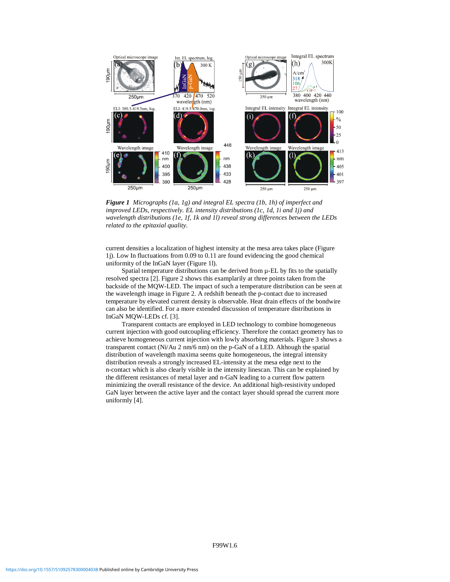

*Figure 1 Micrographs (1a, 1g) and integral EL spectra (1b, 1h) of imperfect and improved LEDs, respectively. EL intensity distributions (1c, 1d, 1i and 1j) and wavelength distributions (1e, 1f, 1k and 1l) reveal strong differences between the LEDs related to the epitaxial quality*.

current densities a localization of highest intensity at the mesa area takes place (Figure 1j). Low In fluctuations from 0.09 to 0.11 are found evidencing the good chemical uniformity of the InGaN layer (Figure 1l).

Spatial temperature distributions can be derived from  $\mu$ -EL by fits to the spatially resolved spectra [2]. Figure 2 shows this examplarily at three points taken from the backside of the MQW-LED. The impact of such a temperature distribution can be seen at the wavelength image in Figure 2. A redshift beneath the p-contact due to increased temperature by elevated current density is observable. Heat drain effects of the bondwire can also be identified. For a more extended discussion of temperature distributions in InGaN MQW-LEDs cf. [3].

Transparent contacts are employed in LED technology to combine homogeneous current injection with good outcoupling efficiency. Therefore the contact geometry has to achieve homogeneous current injection with lowly absorbing materials. Figure 3 shows a transparent contact (Ni/Au 2 nm/6 nm) on the p-GaN of a LED. Although the spatial distribution of wavelength maxima seems quite homogeneous, the integral intensity distribution reveals a strongly increased EL-intensity at the mesa edge next to the n-contact which is also clearly visible in the intensity linescan. This can be explained by the different resistances of metal layer and n-GaN leading to a current flow pattern minimizing the overall resistance of the device. An additional high-resistivity undoped GaN layer between the active layer and the contact layer should spread the current more uniformly [4].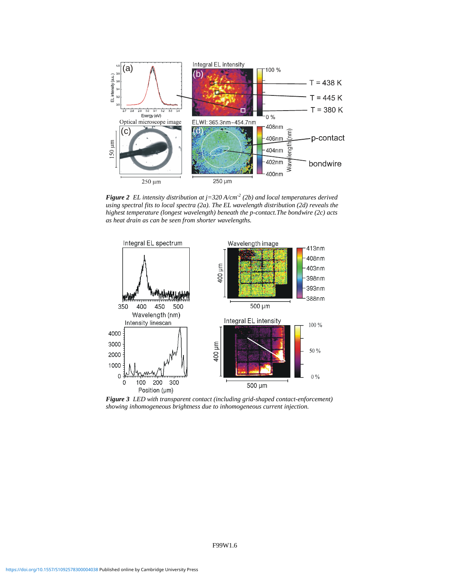

*Figure 2 EL intensity distribution at j=320 A/cm-2 (2b) and local temperatures derived using spectral fits to local spectra (2a). The EL wavelength distribution (2d) reveals the highest temperature (longest wavelength) beneath the p-contact.The bondwire (2c) acts as heat drain as can be seen from shorter wavelengths.*



*Figure 3 LED with transparent contact (including grid-shaped contact-enforcement) showing inhomogeneous brightness due to inhomogeneous current injection.*